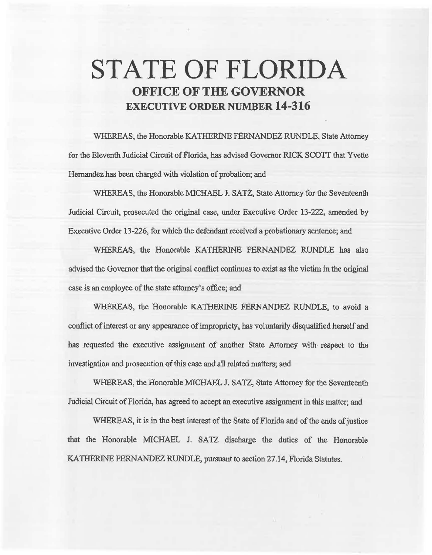# **STATE OF FLORIDA OFFICE OF THE GOVERNOR EXECUTIVE ORDER NUMBER 14-316**

WHEREAS, the Honorable KATHERlNE FERNANDEZ RUNDLE. State Attorney for the Eleventh Judicial Circuit of Florida, has advised Governor RICK SCOTT that Yvette Hernandez has been charged with violation of probation; and

WHEREAS, the Honorable MICHAEL J. SATZ, State Attorney for the Seventeenth Judicial Circuit, prosecuted the original case, under Executive Order 13-222, amended by Executive Order 13-226, for which the defendant received a probationary sentence; and

WHEREAS, the Honorable KATHERINE FERNANDEZ RUNDLE has also advised the Governor that the original conflict continues to exist as the victim in the original case is an employee of the state attorney's office; and

WHEREAS, the Honorable KATHERINE FERNANDEZ RUNDLE, to avoid a conflict of interest or any appearance of impropriety, has voluntarily disqualified herself and has requested the executive assignment of another State Attorney with respect to the investigation and prosecution of this case and all related matters; and

WHEREAS, the Honorable MICHAEL J. SATZ, State Attorney for the Seventeenth Judicial Circuit of Florida, has agreed to accept an executive assignment in this matter; and

WHEREAS, it is in the best interest of the State of Florida and of the ends of justice that the Honorable MICHAEL J. SATZ discharge the duties of the Honorable KA THERINE FERNANDEZ RUNDLE, pursuant to section 27.14, Florida Statutes.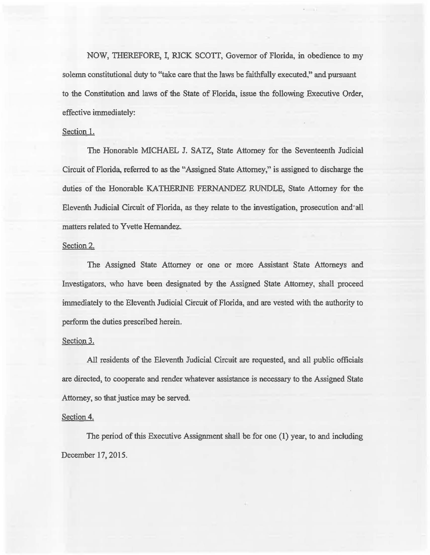NOW, THEREFORE, I, RICK SCOTT, Governor of Florida, in obedience to my solemn constitutional duty to "take care that the laws be faithfully executed," and pursuant to the Constitution and laws of the State of Florida, issue the following Executive Order, effective immediately:

## Section l.

The Honorable MICHAEL J. SATZ, State Attorney for the Seventeenth Judicial Circuit of Florida, referred to as the "Assigned State Attorney," is assigned to discharge the duties of the Honorable KATHERINE FERNANDEZ RUNDLE, State Attorney for the Eleventh Judicial Circuit of Florida, as they relate to the investigation, prosecution and all matters related to Yvette Hernandez.

#### Section 2.

The Assigned State Attorney or one or more Assistant State Attorneys and Investigators, who have been designated by the Assigned State Attorney, shall proceed immediately to the Eleventh Judicial Circuit of Florida, and are vested with the authority to perform the duties prescribed herein.

#### Section 3.

All residents of the Eleventh Judicial Circuit are requested, and all public officials are directed, to cooperate and render whatever assistance is necessary to the Assigned State Attorney, so that justice may be served.

### Section<sub>4.</sub>

The period of this Executive Assignment shall be for one (1) year, to and including December 17, 2015.